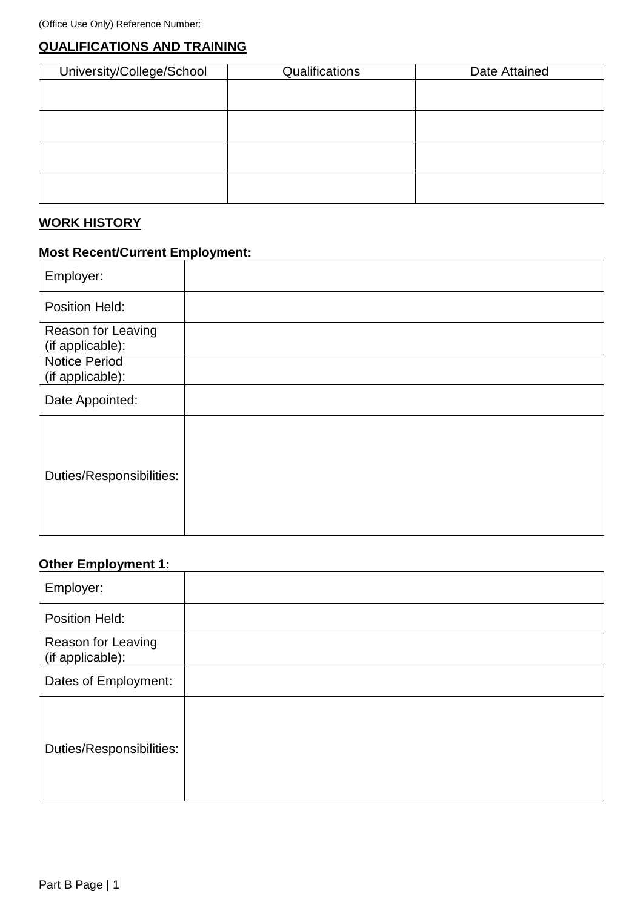# **QUALIFICATIONS AND TRAINING**

| University/College/School | Qualifications | Date Attained |
|---------------------------|----------------|---------------|
|                           |                |               |
|                           |                |               |
|                           |                |               |
|                           |                |               |
|                           |                |               |
|                           |                |               |
|                           |                |               |
|                           |                |               |

# **WORK HISTORY**

## **Most Recent/Current Employment:**

| Employer:                                |  |
|------------------------------------------|--|
| Position Held:                           |  |
| Reason for Leaving<br>(if applicable):   |  |
| <b>Notice Period</b><br>(if applicable): |  |
| Date Appointed:                          |  |
| Duties/Responsibilities:                 |  |

# **Other Employment 1:**

| Employer:                              |  |
|----------------------------------------|--|
| Position Held:                         |  |
| Reason for Leaving<br>(if applicable): |  |
| Dates of Employment:                   |  |
| Duties/Responsibilities:               |  |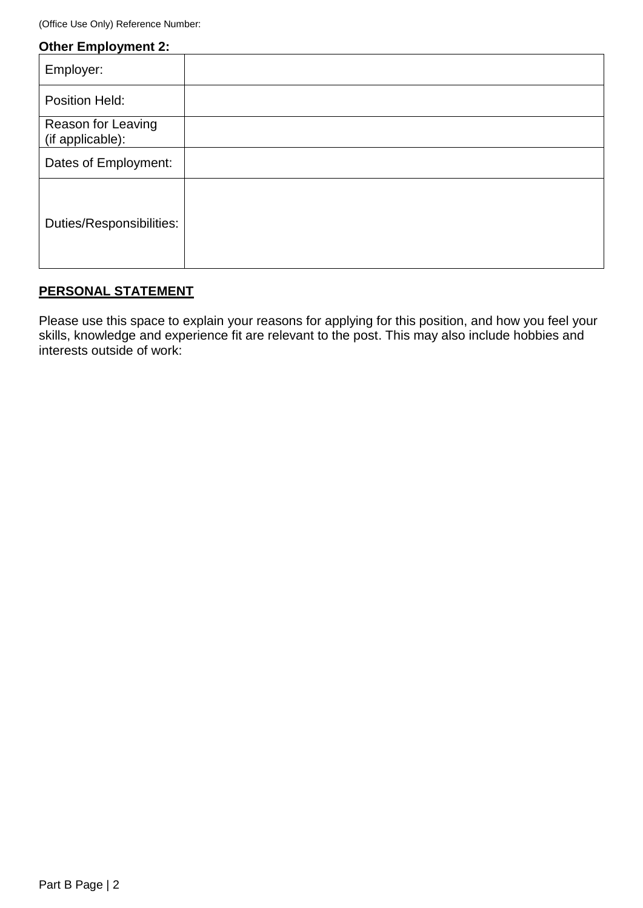(Office Use Only) Reference Number:

|  | <b>Other Employment 2:</b> |  |
|--|----------------------------|--|
|  |                            |  |

| Employer:                              |  |
|----------------------------------------|--|
| Position Held:                         |  |
| Reason for Leaving<br>(if applicable): |  |
| Dates of Employment:                   |  |
| Duties/Responsibilities:               |  |

# **PERSONAL STATEMENT**

Please use this space to explain your reasons for applying for this position, and how you feel your skills, knowledge and experience fit are relevant to the post. This may also include hobbies and interests outside of work: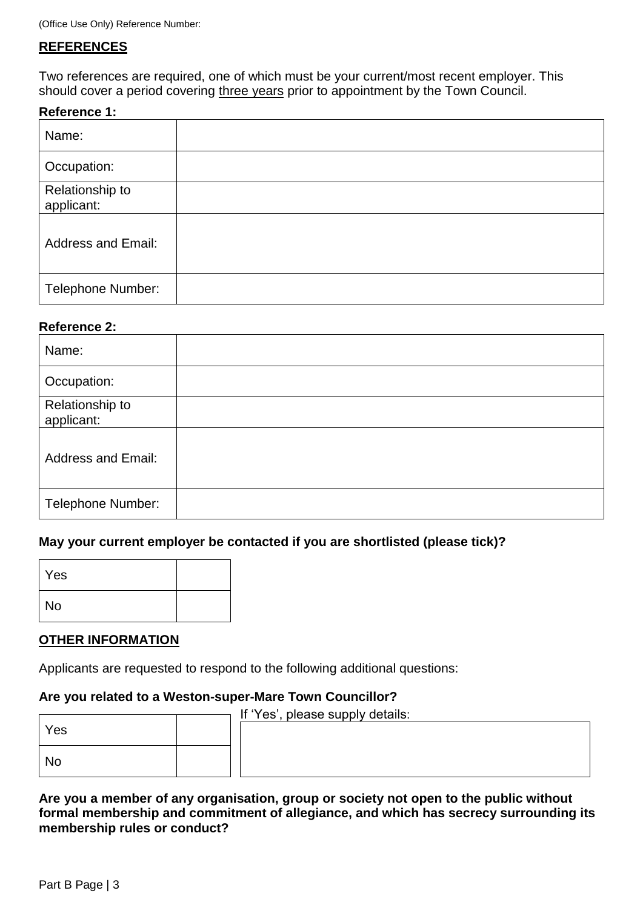### **REFERENCES**

Two references are required, one of which must be your current/most recent employer. This should cover a period covering three years prior to appointment by the Town Council.

### **Reference 1:**

| Name:                         |  |
|-------------------------------|--|
| Occupation:                   |  |
| Relationship to<br>applicant: |  |
| <b>Address and Email:</b>     |  |
| Telephone Number:             |  |

### **Reference 2:**

| Name:                         |  |
|-------------------------------|--|
| Occupation:                   |  |
| Relationship to<br>applicant: |  |
| <b>Address and Email:</b>     |  |
| <b>Telephone Number:</b>      |  |

### **May your current employer be contacted if you are shortlisted (please tick)?**

| Yes       |  |
|-----------|--|
| <b>No</b> |  |

### **OTHER INFORMATION**

Applicants are requested to respond to the following additional questions:

### **Are you related to a Weston-super-Mare Town Councillor?**

|     | If 'Yes', please supply details: |
|-----|----------------------------------|
| Yes |                                  |
|     |                                  |
|     |                                  |
| No  |                                  |
|     |                                  |

**Are you a member of any organisation, group or society not open to the public without formal membership and commitment of allegiance, and which has secrecy surrounding its membership rules or conduct?**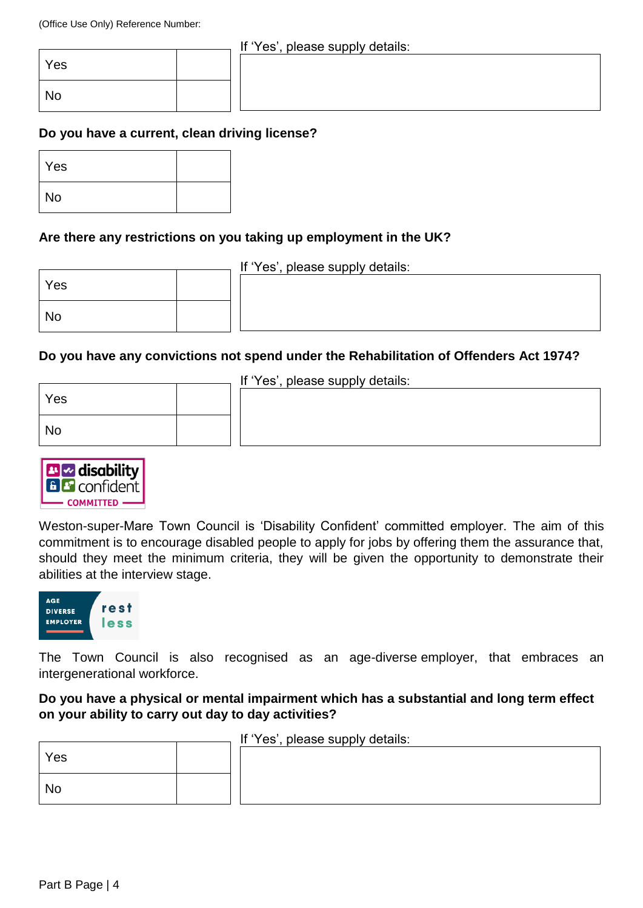### If 'Yes', please supply details:

| Yes       |  |
|-----------|--|
| <b>No</b> |  |

# **Do you have a current, clean driving license?**

| Yes |  |
|-----|--|
| No  |  |

### **Are there any restrictions on you taking up employment in the UK?**

|     | If 'Yes', please supply details: |
|-----|----------------------------------|
| Yes |                                  |
|     |                                  |
|     |                                  |
| No  |                                  |
|     |                                  |

### **Do you have any convictions not spend under the Rehabilitation of Offenders Act 1974?**

| If 'Yes', please supply details: |  |  |
|----------------------------------|--|--|
| Yes                              |  |  |
|                                  |  |  |
| <b>No</b>                        |  |  |
|                                  |  |  |
|                                  |  |  |



Weston-super-Mare Town Council is 'Disability Confident' committed employer. The aim of this commitment is to encourage disabled people to apply for jobs by offering them the assurance that, should they meet the minimum criteria, they will be given the opportunity to demonstrate their abilities at the interview stage.



The Town Council is also recognised as an age-diverse employer, that embraces an intergenerational workforce.

**Do you have a physical or mental impairment which has a substantial and long term effect on your ability to carry out day to day activities?**

| If 'Yes', please supply details: |  |  |  |
|----------------------------------|--|--|--|
| Yes                              |  |  |  |
| No                               |  |  |  |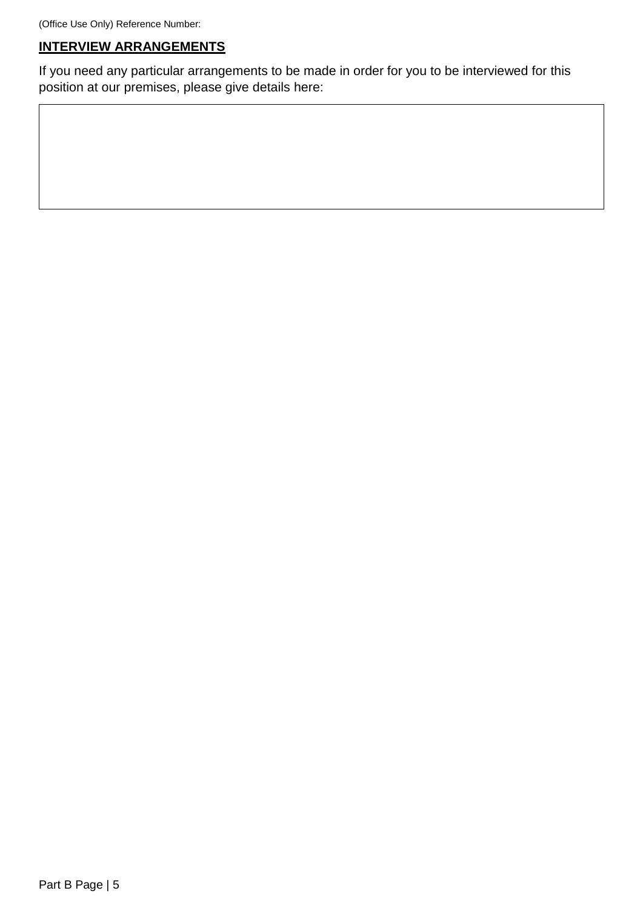# **INTERVIEW ARRANGEMENTS**

If you need any particular arrangements to be made in order for you to be interviewed for this position at our premises, please give details here: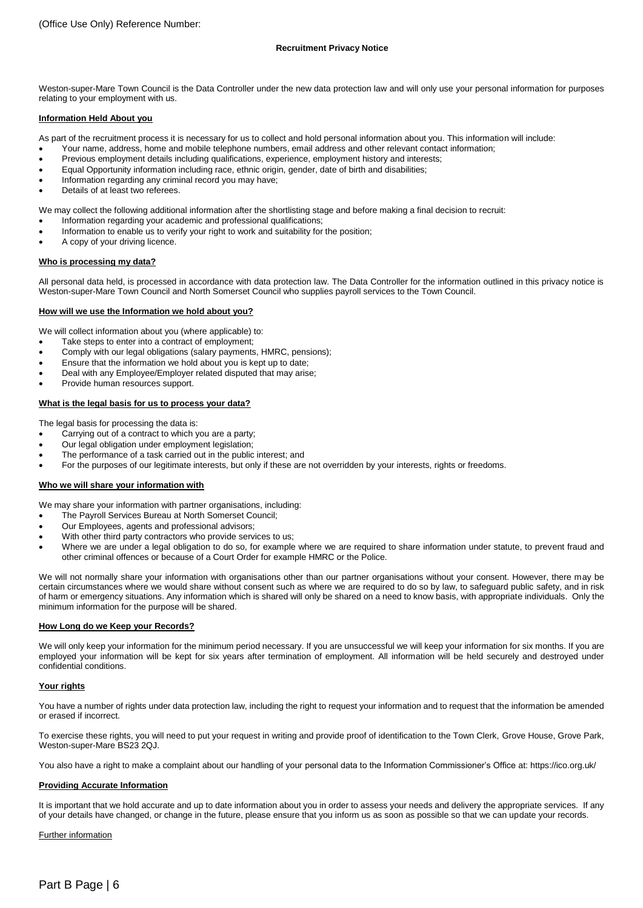Weston-super-Mare Town Council is the Data Controller under the new data protection law and will only use your personal information for purposes relating to your employment with us.

#### **Information Held About you**

As part of the recruitment process it is necessary for us to collect and hold personal information about you. This information will include:

- Your name, address, home and mobile telephone numbers, email address and other relevant contact information;
- Previous employment details including qualifications, experience, employment history and interests;
- Equal Opportunity information including race, ethnic origin, gender, date of birth and disabilities;
- Information regarding any criminal record you may have;
- Details of at least two referees.

We may collect the following additional information after the shortlisting stage and before making a final decision to recruit:

- Information regarding your academic and professional qualifications;
- Information to enable us to verify your right to work and suitability for the position;
- A copy of your driving licence.

#### **Who is processing my data?**

All personal data held, is processed in accordance with data protection law. The Data Controller for the information outlined in this privacy notice is Weston-super-Mare Town Council and North Somerset Council who supplies payroll services to the Town Council.

#### **How will we use the Information we hold about you?**

We will collect information about you (where applicable) to:

- Take steps to enter into a contract of employment;
- Comply with our legal obligations (salary payments, HMRC, pensions);
- Ensure that the information we hold about you is kept up to date;
- Deal with any Employee/Employer related disputed that may arise;
- Provide human resources support.

#### **What is the legal basis for us to process your data?**

The legal basis for processing the data is:

- Carrying out of a contract to which you are a party;
- Our legal obligation under employment legislation;
- The performance of a task carried out in the public interest; and
- For the purposes of our legitimate interests, but only if these are not overridden by your interests, rights or freedoms.

#### **Who we will share your information with**

We may share your information with partner organisations, including:

- The Payroll Services Bureau at North Somerset Council;
- Our Employees, agents and professional advisors;
- With other third party contractors who provide services to us;
- Where we are under a legal obligation to do so, for example where we are required to share information under statute, to prevent fraud and other criminal offences or because of a Court Order for example HMRC or the Police.

We will not normally share your information with organisations other than our partner organisations without your consent. However, there may be certain circumstances where we would share without consent such as where we are required to do so by law, to safeguard public safety, and in risk of harm or emergency situations. Any information which is shared will only be shared on a need to know basis, with appropriate individuals. Only the minimum information for the purpose will be shared.

#### **How Long do we Keep your Records?**

We will only keep your information for the minimum period necessary. If you are unsuccessful we will keep your information for six months. If you are employed your information will be kept for six years after termination of employment. All information will be held securely and destroyed under confidential conditions.

#### **Your rights**

You have a number of rights under data protection law, including the right to request your information and to request that the information be amended or erased if incorrect.

To exercise these rights, you will need to put your request in writing and provide proof of identification to the Town Clerk, Grove House, Grove Park, Weston-super-Mare BS23 2QJ.

You also have a right to make a complaint about our handling of your personal data to the Information Commissioner's Office at: https://ico.org.uk/

#### **Providing Accurate Information**

It is important that we hold accurate and up to date information about you in order to assess your needs and delivery the appropriate services. If any of your details have changed, or change in the future, please ensure that you inform us as soon as possible so that we can update your records.

#### Further information